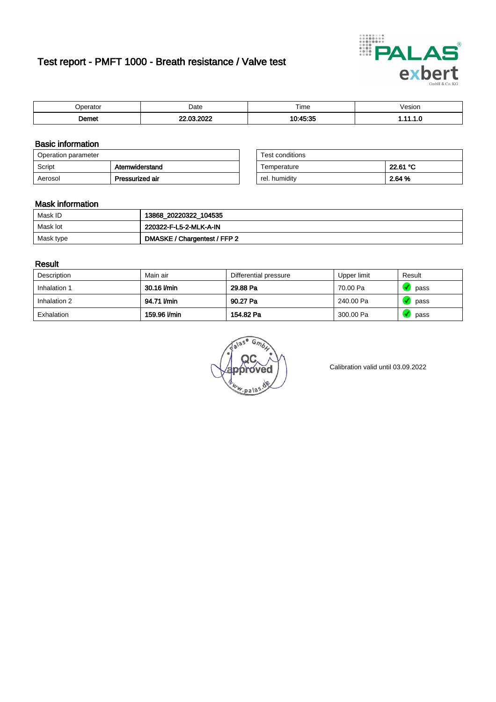# Test report - PMFT 1000 - Breath resistance / Valve test



| ----<br>.    | Date | --<br><b>I</b> ime | esion |
|--------------|------|--------------------|-------|
| <b>Domor</b> |      | $R = 1$            | . .   |

### Basic information

| Operation parameter |                 | Test conditions |          |
|---------------------|-----------------|-----------------|----------|
| Script              | Atemwiderstand  | Temperature     | 22.61 °C |
| Aerosol             | Pressurized air | rel. humiditv   | 2.64 %   |

| Test conditions |          |
|-----------------|----------|
| Temperature     | 22.61 °C |
| rel. humidity   | 2.64 %   |

### Mask information

| Mask ID   | 13868_20220322_104535        |
|-----------|------------------------------|
| Mask lot  | 220322-F-L5-2-MLK-A-IN       |
| Mask type | DMASKE / Chargentest / FFP 2 |

### Result

| Description  | Main air     | Differential pressure | Upper limit | Result |
|--------------|--------------|-----------------------|-------------|--------|
| Inhalation 1 | 30.16 l/min  | 29.88 Pa              | 70.00 Pa    | pass   |
| Inhalation 2 | 94.71 l/min  | 90.27 Pa              | 240.00 Pa   | pass   |
| Exhalation   | 159.96 l/min | 154.82 Pa             | 300.00 Pa   | pass   |

w.pala

Calibration valid until 03.09.2022